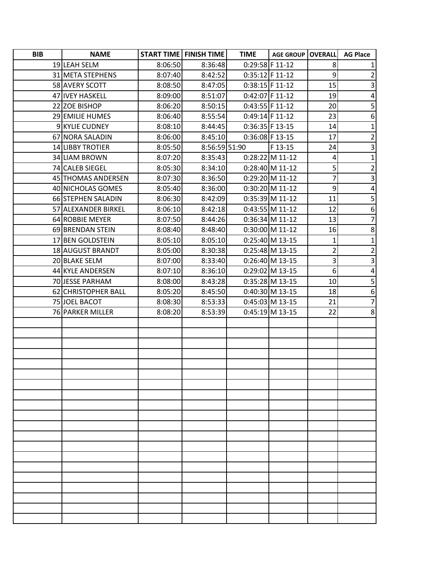| <b>BIB</b> | <b>NAME</b>         |         | <b>START TIME   FINISH TIME  </b> | <b>TIME</b>       | <b>AGE GROUP   OVERALL</b> |             | <b>AG Place</b>         |
|------------|---------------------|---------|-----------------------------------|-------------------|----------------------------|-------------|-------------------------|
|            | 19 LEAH SELM        | 8:06:50 | 8:36:48                           | 0:29:58 F 11-12   |                            | 8           |                         |
|            | 31 META STEPHENS    | 8:07:40 | 8:42:52                           | $0:35:12$ F 11-12 |                            | 9           | $\overline{2}$          |
|            | 58 AVERY SCOTT      | 8:08:50 | 8:47:05                           | $0:38:15$ F 11-12 |                            | 15          | 3                       |
|            | 47 IVEY HASKELL     | 8:09:00 | 8:51:07                           | $0:42:07$ F 11-12 |                            | 19          | $\pmb{4}$               |
|            | 22 ZOE BISHOP       | 8:06:20 | 8:50:15                           | 0:43:55 F 11-12   |                            | 20          | 5                       |
|            | 29 EMILIE HUMES     | 8:06:40 | 8:55:54                           | $0:49:14$ F 11-12 |                            | 23          | $\boldsymbol{6}$        |
|            | 9 KYLIE CUDNEY      | 8:08:10 | 8:44:45                           | $0:36:35$ F 13-15 |                            | 14          | $\mathbf 1$             |
|            | 67 NORA SALADIN     | 8:06:00 | 8:45:10                           | $0:36:08$ F 13-15 |                            | 17          | $\overline{2}$          |
|            | 14 LIBBY TROTIER    | 8:05:50 | 8:56:59 51:90                     |                   | F 13-15                    | 24          | 3                       |
|            | 34 LIAM BROWN       | 8:07:20 | 8:35:43                           |                   | $0:28:22$ M 11-12          | 4           | $\mathbf 1$             |
|            | 74 CALEB SIEGEL     | 8:05:30 | 8:34:10                           |                   | $0:28:40$ M 11-12          | 5           | $\overline{2}$          |
|            | 45 THOMAS ANDERSEN  | 8:07:30 | 8:36:50                           |                   | 0:29:20 M 11-12            | 7           | 3                       |
|            | 40 NICHOLAS GOMES   | 8:05:40 | 8:36:00                           |                   | 0:30:20 M 11-12            | 9           | $\overline{\mathbf{4}}$ |
|            | 66 STEPHEN SALADIN  | 8:06:30 | 8:42:09                           |                   | 0:35:39 M 11-12            | 11          | 5                       |
|            | 57 ALEXANDER BIRKEL | 8:06:10 | 8:42:18                           |                   | 0:43:55 M 11-12            | 12          | $\boldsymbol{6}$        |
|            | 64 ROBBIE MEYER     | 8:07:50 | 8:44:26                           |                   | 0:36:34 M 11-12            | 13          | $\overline{7}$          |
|            | 69 BRENDAN STEIN    | 8:08:40 | 8:48:40                           |                   | 0:30:00 M 11-12            | 16          | 8                       |
|            | 17 BEN GOLDSTEIN    | 8:05:10 | 8:05:10                           |                   | $0:25:40$ M 13-15          | $\mathbf 1$ | $\mathbf 1$             |
|            | 18 AUGUST BRANDT    | 8:05:00 | 8:30:38                           |                   | $0:25:48$ M 13-15          | 2           | $\overline{\mathbf{c}}$ |
|            | 20 BLAKE SELM       | 8:07:00 | 8:33:40                           |                   | 0:26:40 M 13-15            | 3           | $\overline{\mathbf{3}}$ |
|            | 44 KYLE ANDERSEN    | 8:07:10 | 8:36:10                           |                   | 0:29:02 M 13-15            | 6           | $\pmb{4}$               |
|            | 70 JESSE PARHAM     | 8:08:00 | 8:43:28                           |                   | 0:35:28 M 13-15            | 10          | 5                       |
|            | 62 CHRISTOPHER BALL | 8:05:20 | 8:45:50                           |                   | 0:40:30 M 13-15            | 18          | $\boldsymbol{6}$        |
|            | 75 JOEL BACOT       | 8:08:30 | 8:53:33                           |                   | 0:45:03 M 13-15            | 21          | $\overline{7}$          |
|            | 76 PARKER MILLER    | 8:08:20 | 8:53:39                           |                   | $0:45:19$ M 13-15          | 22          | 8                       |
|            |                     |         |                                   |                   |                            |             |                         |
|            |                     |         |                                   |                   |                            |             |                         |
|            |                     |         |                                   |                   |                            |             |                         |
|            |                     |         |                                   |                   |                            |             |                         |
|            |                     |         |                                   |                   |                            |             |                         |
|            |                     |         |                                   |                   |                            |             |                         |
|            |                     |         |                                   |                   |                            |             |                         |
|            |                     |         |                                   |                   |                            |             |                         |
|            |                     |         |                                   |                   |                            |             |                         |
|            |                     |         |                                   |                   |                            |             |                         |
|            |                     |         |                                   |                   |                            |             |                         |
|            |                     |         |                                   |                   |                            |             |                         |
|            |                     |         |                                   |                   |                            |             |                         |
|            |                     |         |                                   |                   |                            |             |                         |
|            |                     |         |                                   |                   |                            |             |                         |
|            |                     |         |                                   |                   |                            |             |                         |
|            |                     |         |                                   |                   |                            |             |                         |
|            |                     |         |                                   |                   |                            |             |                         |
|            |                     |         |                                   |                   |                            |             |                         |
|            |                     |         |                                   |                   |                            |             |                         |